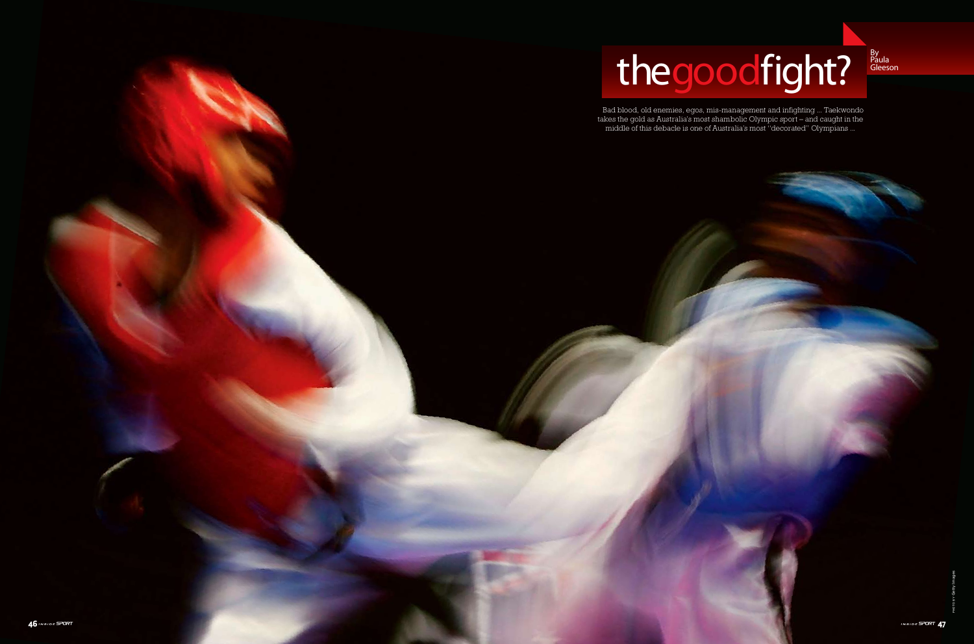Paula Gleeson



Bad blood, old enemies, egos, mis-management and infighting ... Taekwondo takes the gold as Australia's most shambolic Olympic sport – and caught in the middle of this debacle is one of Australia's most "decorated" Olympians ...

# thegoodfight?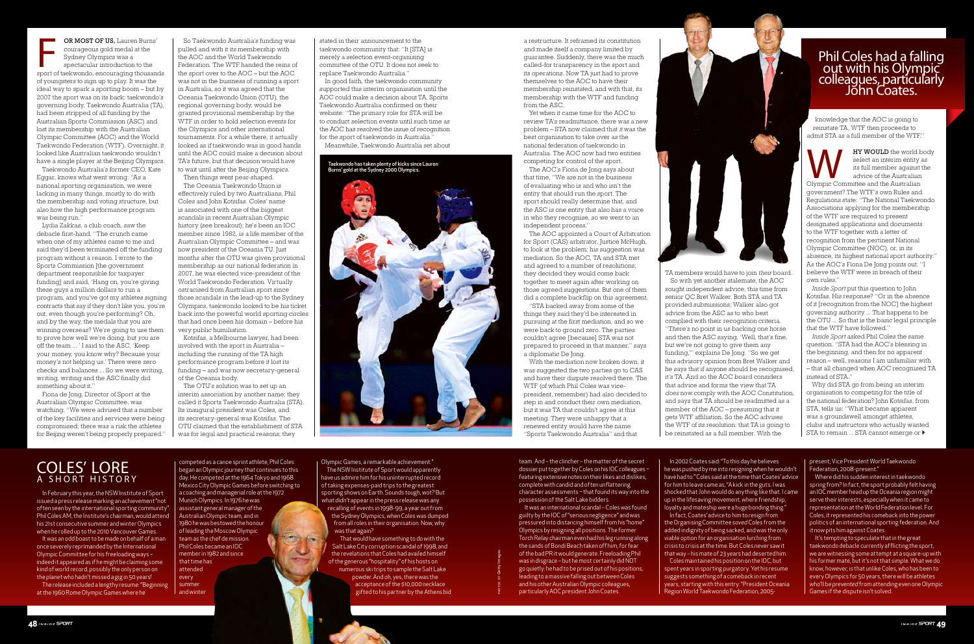**OR MOST OF US,** Lauren Burns'<br>
courageous gold medal at the<br>
Sydney Olympics was a<br>
spectacular introduction to the<br>
sport of taekwondo, encouraging thousands courageous gold medal at the Sydney Olympics was a spectacular introduction to the of youngsters to sign up to play. It was the ideal way to spark a sporting boom – but by 2007 the sport was on its back: taekwondo's governing body, Taekwondo Australia (TA), had been stripped of all funding by the Australian Sports Commission (ASC) and lost its membership with the Australian Olympic Committee (AOC) and the World Taekwondo Federation (WTF). Overnight, it looked like Australian taekwondo wouldn't have a single player at the Beijing Olympics. Taekwondo Australia's former CEO, Kate

Eggar, knows what went wrong: "As a national sporting organisation, we were lacking in many things, mostly to do with the membership and voting structure, but also how the high performance program was being run."

Lydia Zakkas, a club coach, saw the debacle first-hand. "The crunch came when one of my athletes came to me and said they'd been terminated off the funding program without a reason. I wrote to the Sports Commission [the government department responsible for taxpayer funding] and said, 'Hang on, you're giving these guys a million dollars to run a program, and you've got my athletes signing contracts that say if they don't like you, you're out, even though you're performing? Oh, and by the way, the medals that you are winning overseas? We're going to use them to prove how well we're doing, but *you* are off the team ... ' I said to the ASC, 'Keep your money, you know why? Because your money's not helping us.' There were zero checks and balances ... So we were writing, writing, writing and the ASC finally did something about it."

Fiona de Jong, Director of Sport at the Australian Olympic Committee, was watching. "We were advised that a number of the key facilities and services were being compromised; there was a risk the athletes for Beijing weren't being properly prepared."

So Taekwondo Australia's funding was pulled and with it its membership with the AOC and the World Taekwondo Federation. The WTF handed the reins of the sport over to the AOC – but the AOC was not in the business of running a sport in Australia, so it was agreed that the Oceania Taekwondo Union (OTU), the regional governing body, would be granted provisional membership by the WTF in order to hold selection events for the Olympics and other international tournaments. For a while there, it actually looked as if taekwondo was in good hands until the AOC could make a decision about TA's future, but that decision would have to wait until after the Beijing Olympics.

Then things went pear-shaped. The Oceania Taekwondo Union is effectively ruled by two Australians, Phil Coles and John Kotsifas. Coles' name is associated with one of the biggest scandals in recent Australian Olympic history (see breakout); he's been an IOC member since 1982, is a life member of the Australian Olympic Committee – and was now president of the Oceania TU. Just months after the OTU was given provisional membership as our national federation in 2007, he was elected vice-president of the World Taekwondo Federation. Virtually ostracised from Australian sport since those scandals in the lead-up to the Sydney Olympics, taekwondo looked to be his ticket back into the powerful world sporting circles that had once been his domain – before his very public humiliation.

Kotsifas, a Melbourne lawyer, had been involved with the sport in Australia – including the running of the TA high performance program before it lost its funding – and was now secretary-general of the Oceania body.

The OTU's solution was to set up an interim association by another name; they called it Sports Taekwondo Australia (STA). Its inaugural president was Coles, and its secretary-general was Kotsifas. The OTU claimed that the establishment of STA was for legal and practical reasons; they

**WEY WOULD** the world body select an interim entity as its full member against the advice of the Australian Olympic Committee and the Australian select an interim entity as its full member against the advice of the Australian government? The WTF's own Rules and Regulations state: "The National Taekwondo Associations applying for the membership of the WTF are required to present designated applications and documents to the WTF together with a letter of recognition from the pertinent National Olympic Committee (NOC), or, in its absence, its highest national sport authority." As the AOC's Fiona De Jong points out: "I believe the WTF were in breach of their own rules."

stated in their announcement to the taekwondo community that: "It [STA] is merely a selection event-organising committee of the OTU. It does not seek to replace Taekwondo Australia."

In good faith, the taekwondo community supported this interim organisation until the AOC could make a decision about TA. Sports Taekwondo Australia confirmed on their website: "The primary role for STA will be to conduct selection events until such time as the AOC has resolved the issue of recognition for the sport of taekwondo in Australia."

In February this year, the NSW Institute of Sport issued a press release marking an achievement "not often seen by the international sporting community". Phil Coles AM, the Institute's chairman, would attend his 21st consecutive summer and winter Olympics when he rolled up to the 2010 Vancouver Games.

Meanwhile, Taekwondo Australia set about

a restructure. It reframed its constitution and made itself a company limited by guarantee. Suddenly, there was the much called-for transparency in the sport and its operations. Now TA just had to prove themselves to the AOC to have their membership reinstated, and with that, its membership with the WTF and funding from the ASC.

Yet when it came time for the AOC to review TA's readmittance, there was a new problem – STA now claimed that *it* was the best organisation to take over as the national federation of taekwondo in Australia. The AOC now had two entities competing for control of the sport.

The AOC's Fiona de Jong says about that time, "We are not in the business of evaluating who is and who isn't the entity that should run the sport. The sport should really determine that, and the ASC is one entity that also has a voice in who they recognise, so we went to an independent process."

t<br>ex warren team. And – the clincher – the matter of the secret dossier put together by Coles on his IOC colleagues – featuring extensive notes on their likes and dislikes, complete with candid and often unflattering character assessments – that found its way into the possession of the Salt Lake bidders.

The AOC appointed a Court of Arbitration for Sport (CAS) arbitrator, Justice McHugh, to look at the problem: his suggestion was mediation. So the AOC, TA and STA met and agreed to a number of resolutions; they decided they would come back together to meet again after working on those agreed suggestions. But one of them did a complete backflip on this agreement.

"STA backed away from some of the things they said they'd be interested in pursuing at the first mediation, and so we were back to ground zero. The parties couldn't agree [because] STA was not prepared to proceed in that manner," says a diplomatic De Jong.

With the mediation now broken down, it was suggested the two parties go to CAS and have their dispute resolved there. The WTF (of which Phil Coles was vicepresident, remember) had also decided to step in and conduct their own mediation, but it was TA that couldn't agree at this meeting. They were unhappy that a renewed entity would have the name "Sports Taekwondo Australia" and that

#### coles' lore A SHORT HISTORY

TA members would have to join *their* board. So with yet another stalemate, the AOC sought independent advice, this time from senior QC Bret Walker. Both STA and TA provided submissions; Walker also got advice from the ASC as to who best complied with their recognition criteria. "There's no point in us backing one horse and then the ASC saying, 'Well, that's fine, but we're not going to give them any funding,'" explains De Jong. "So we get this advisory opinion from Bret Walker and he says that if anyone should be recognised, it's TA. And so the AOC board considers that advice and forms the view that TA *does* now comply with the AOC Constitution, and says that TA should be readmitted as a member of the AOC – presuming that it gets WTF affiliation. So the AOC advises the WTF of its resolution: that TA is going to be reinstated as a full member. With the

knowledge that the AOC is going to reinstate TA, WTF then proceeds to admit STA as a full member of the WTF."

*Inside Sport* put this question to John Kotsifas. His response? "Or in the absence of it [recognition from the NOC] the highest governing authority ... That happens to be the OTU ... So that is the basic legal principle that the WTF have followed."

*Inside Sport* asked Phil Coles the same question. "STA had the AOC's blessing in the beginning, and then for no apparent reason – well, reasons I am unfamiliar with – that all changed when AOC recognised TA instead of STA."

Why did STA go from being an interim organisation to competing for the title of the national federation? John Kotsifas, from STA, tells us: "What became apparent was a groundswell amongst athletes clubs and instructors who actually wanted  $STA$  to remain ... STA cannot emerge or  $\blacktriangleright$ 

It was an odd boast to be made on behalf of a man once severely reprimanded by the International Olympic Committee for his freeloading ways – indeed it appeared as if he might be claiming some kind of world record, possibly the only person on the planet who hadn't missed a gig in 50 years!

The release included a lengthy resume: "Beginning at the 1960 Rome Olympic Games where he

competed as a canoe sprint athlete, Phil Coles began an Olympic journey that continues to this day. He competed at the 1964 Tokyo and 1968 Mexico City Olympic Games before switching to a coaching and managerial role at the 1972 Munich Olympics. In 1976 he was assistant general manager of the Australian Olympic team, and in 1980 he was bestowed the honour of leading the Moscow Olympic team as the chef de mission. Phil Coles became an IOC member in 1982 and since that time has attended every summer

and winter

Olympic Games, a remarkable achievement." The NSW Institute of Sport would apparently have us admire him for his uninterrupted record of taking expenses-paid trips to the greatest sporting shows on Earth. Sounds tough, wot? But what *didn't* appear in the press release was any recalling of events in 1998-99, a year out from the Sydney Olympics, when Coles was dumped from all roles in their organisation. Now, why was that again?

That would have something to do with the Salt Lake City corruption scandal of 1998, and the revelations that Coles had availed himself of the generous "hospitality" of his hosts on numerous ski trips to sample the Salt Lake powder. And oh, yes, there was the acceptance of the \$10,000 necklace gifted to his partner by the Athens bid

It was an international scandal – Coles was found guilty by the IOC of "serious negligence" and was pressured into distancing himself from his "home" Olympics by resigning all positions. The former Torch Relay chairman even had his leg running along the sands of Bondi Beach taken off him, for fear of the bad PR it would generate. Freeloading Phil was in disgrace – but he most certainly did NOT go quietly: he had to be prised out of his positions, leading to a massive falling out between Coles and his other Australian Olympic colleagues, particularly AOC president John Coates.

PHOTOS BY Getty Images



In 2002 Coates said: "To this day he believes he was pushed by me into resigning when he wouldn't have had to." Coles said at the time that Coates' advice for him to leave came as, "A kick in the guts. I was shocked that John would do anything like that. I came up in the lifesaving movement, where friendship, loyalty and mateship were a huge bonding thing." In fact, Coates' advice to him to resign from the Organising Committee *saved* Coles from the added indignity of being sacked, and was the only viable option for an organisation lurching from crisis to crisis at the time. But Coles never saw it that way – his mate of 23 years had deserted him. Coles maintained his position on the IOC, but spent years in sporting purgatory. Yet his resume suggests something of a comeback in recent years, starting with this entry: "President Oceania Region World Taekwondo Federation, 2005present; Vice President World Taekwondo Federation, 2008-present."

Where did his sudden interest in taekwondo spring from? In fact, the sport probably felt having an IOC member head up the Oceania region might serve their interests, especially when it came to representation at the World Federation level. For Coles, it represented his comeback into the power politics of an international sporting federation. And it now pits him against Coates.

It's tempting to speculate that in the great taekwondo debacle currently afflicting the sport, we are witnessing some attempt at a square-up with his former mate, but it's not that simple. What we do know, however, is that unlike Coles, who has been to every Olympics for 50 years, there will be athletes who'll be *prevented* from attending even one Olympic Games if the dispute isn't solved.

## Phil Coles had a falling out with his Olympic colleagues, particularly John Coates.

Taekwondo has taken plenty of kicks since Lauren Burns' gold at the Sydney 2000 Olympics.

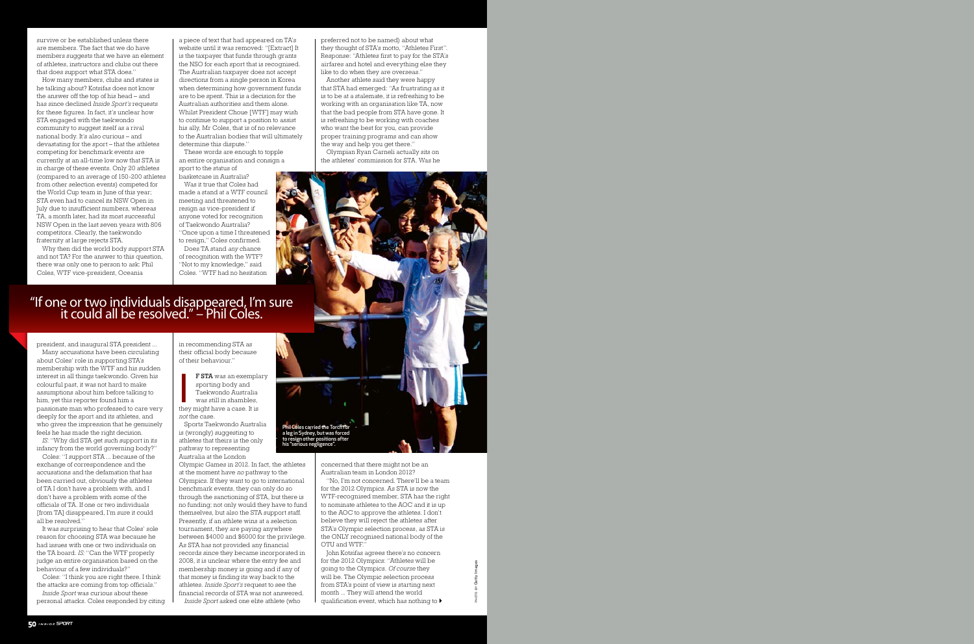survive or be established unless there are members. The fact that we do have members suggests that we have an element of athletes, instructors and clubs out there that does support what STA does."

How many members, clubs and states is he talking about? Kotsifas does not know the answer off the top of his head – and has since declined *Inside Sport's* requests for these figures. In fact, it's unclear how STA engaged with the taekwondo community to suggest itself as a rival national body. It's also curious – and devastating for the sport – that the athletes competing for benchmark events are currently at an all-time low now that STA is in charge of these events. Only 20 athletes (compared to an average of 150-200 athletes from other selection events) competed for the World Cup team in June of this year; STA even had to cancel its NSW Open in July due to insufficient numbers, whereas TA, a month later, had its most successful NSW Open in the last seven years with 806 competitors. Clearly, the taekwondo fraternity at large rejects STA.

Why then did the world body support STA and not TA? For the answer to this question, there was only one to person to ask: Phil Coles, WTF vice-president, Oceania

president, and inaugural STA president ...

a piece of text that had appeared on TA's website until it was removed: "[Extract] It is the taxpayer that funds through grants the NSO for each sport that is recognised. The Australian taxpayer does not accept directions from a single person in Korea when determining how government funds are to be spent. This is a decision for the Australian authorities and them alone. Whilst President Choue [WTF] may wish to continue to support a position to assist his ally, Mr Coles, that is of no relevance to the Australian bodies that will ultimately determine this dispute."

Many accusations have been circulating about Coles' role in supporting STA's membership with the WTF and his sudden interest in all things taekwondo. Given his colourful past, it was not hard to make assumptions about him before talking to him, yet this reporter found him a passionate man who professed to care very deeply for the sport and its athletes, and who gives the impression that he genuinely feels he has made the right decision.

*IS*: "Why did STA get such support in its infancy from the world governing body?"

**F STA** was an exempla<br>sporting body and<br>Taekwondo Australia<br>was still in shambles,<br>they might have a case. It is f STA was an exemplary sporting body and Taekwondo Australia was still in shambles,

Coles: "I support STA ... because of the exchange of correspondence and the accusations and the defamation that has been carried out, obviously the athletes of TA I don't have a problem with, and I don't have a problem with some of the officials of TA. If one or two individuals [from TA] disappeared, I'm sure it could all be resolved."

It was surprising to hear that Coles' sole reason for choosing STA was because he had issues with one or two individuals on the TA board. *IS:* "Can the WTF properly judge an entire organisation based on the behaviour of a few individuals?"

Coles: "I think you are right there. I think the attacks are coming from top officials." *Inside Sport* was curious about these

personal attacks. Coles responded by citing

John Kotsifas agrees there's no concern for the 2012 Olympics: "Athletes will be going to the Olympics. *Of course* they will be. The Olympic selection process from STA's point of view is starting next month ... They will attend the world qualification event, which has nothing to  $\blacktriangleright$ 

These words are enough to topple an entire organisation and consign a sport to the status of

basketcase in Australia? Was it true that Coles had made a stand at a WTF council meeting and threatened to resign as vice-president if anyone voted for recognition of Taekwondo Australia? "Once upon a time I threatened to resign," Coles confirmed. Does TA stand *any* chance

of recognition with the WTF? "Not to my knowledge," said Coles. "WTF had no hesitation

in recommending STA as their official body because of their behaviour."

*not* the case. Sports Taekwondo Australia is (wrongly) suggesting to athletes that theirs is the only pathway to representing Australia at the London

Olympic Games in 2012. In fact, the athletes at the moment have *no* pathway to the Olympics. If they want to go to international benchmark events, they can only do so through the sanctioning of STA, but there is no funding; not only would they have to fund themselves, but also the STA support staff. Presently, if an athlete wins at a selection tournament, they are paying anywhere between \$4000 and \$6000 for the privilege. As STA has not provided any financial records since they became incorporated in 2008, it is unclear where the entry fee and membership money is going and if any of that money is finding its way back to the athletes. *Inside Sport's* request to see the financial records of STA was not answered. *Inside Sport* asked one elite athlete (who

preferred not to be named) about what they thought of STA's motto, "Athletes First". Response: "Athletes first to pay for the STA's airfares and hotel and everything else they like to do when they are overseas."

Another athlete said they were happy that STA had emerged: "As frustrating as it is to be at a stalemate, it is refreshing to be working with an organisation like TA, now that the bad people from STA have gone. It is refreshing to be working with coaches who want the best for you, can provide proper training programs and can show the way and help you get there."

Olympian Ryan Carneli actually sits on the athletes' commission for STA. Was he



"No, I'm not concerned. There'll be a team for the 2012 Olympics. As STA is now the WTF-recognised member, STA has the right to nominate athletes to the AOC and it is up to the AOC to approve the athletes. I don't believe they will reject the athletes after STA's Olympic selection process, as STA is the ONLY recognised national body of the OTU and WTF."



### "If one or two individuals disappeared, I'm sure it could all be resolved." – Phil Coles.